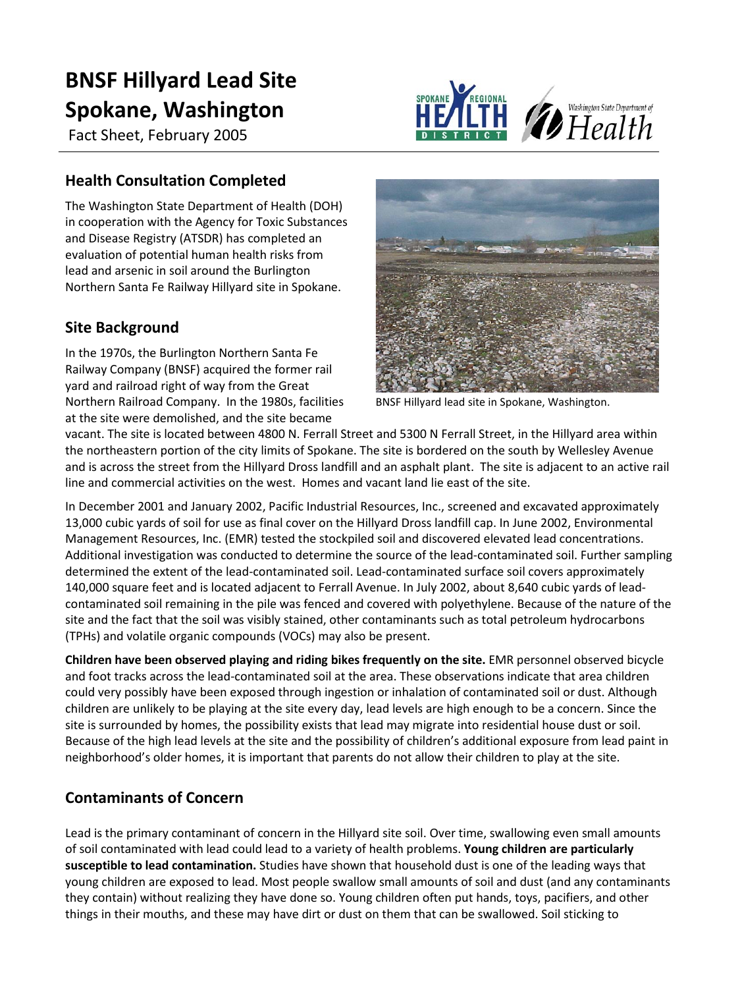# **BNSF Hillyard Lead Site Spokane, Washington**

Fact Sheet, February 2005



## **Health Consultation Completed**

The Washington State Department of Health (DOH) in cooperation with the Agency for Toxic Substances and Disease Registry (ATSDR) has completed an evaluation of potential human health risks from lead and arsenic in soil around the Burlington Northern Santa Fe Railway Hillyard site in Spokane.

# **Site Background**

In the 1970s, the Burlington Northern Santa Fe Railway Company (BNSF) acquired the former rail yard and railroad right of way from the Great Northern Railroad Company. In the 1980s, facilities at the site were demolished, and the site became



BNSF Hillyard lead site in Spokane, Washington.

vacant. The site is located between 4800 N. Ferrall Street and 5300 N Ferrall Street, in the Hillyard area within the northeastern portion of the city limits of Spokane. The site is bordered on the south by Wellesley Avenue and is across the street from the Hillyard Dross landfill and an asphalt plant. The site is adjacent to an active rail line and commercial activities on the west. Homes and vacant land lie east of the site.

In December 2001 and January 2002, Pacific Industrial Resources, Inc., screened and excavated approximately 13,000 cubic yards of soil for use as final cover on the Hillyard Dross landfill cap. In June 2002, Environmental Management Resources, Inc. (EMR) tested the stockpiled soil and discovered elevated lead concentrations. Additional investigation was conducted to determine the source of the lead-contaminated soil. Further sampling determined the extent of the lead-contaminated soil. Lead-contaminated surface soil covers approximately 140,000 square feet and is located adjacent to Ferrall Avenue. In July 2002, about 8,640 cubic yards of leadcontaminated soil remaining in the pile was fenced and covered with polyethylene. Because of the nature of the site and the fact that the soil was visibly stained, other contaminants such as total petroleum hydrocarbons (TPHs) and volatile organic compounds (VOCs) may also be present.

**Children have been observed playing and riding bikes frequently on the site.** EMR personnel observed bicycle and foot tracks across the lead-contaminated soil at the area. These observations indicate that area children could very possibly have been exposed through ingestion or inhalation of contaminated soil or dust. Although children are unlikely to be playing at the site every day, lead levels are high enough to be a concern. Since the site is surrounded by homes, the possibility exists that lead may migrate into residential house dust or soil. Because of the high lead levels at the site and the possibility of children's additional exposure from lead paint in neighborhood's older homes, it is important that parents do not allow their children to play at the site.

# **Contaminants of Concern**

Lead is the primary contaminant of concern in the Hillyard site soil. Over time, swallowing even small amounts of soil contaminated with lead could lead to a variety of health problems. **Young children are particularly susceptible to lead contamination.** Studies have shown that household dust is one of the leading ways that young children are exposed to lead. Most people swallow small amounts of soil and dust (and any contaminants they contain) without realizing they have done so. Young children often put hands, toys, pacifiers, and other things in their mouths, and these may have dirt or dust on them that can be swallowed. Soil sticking to